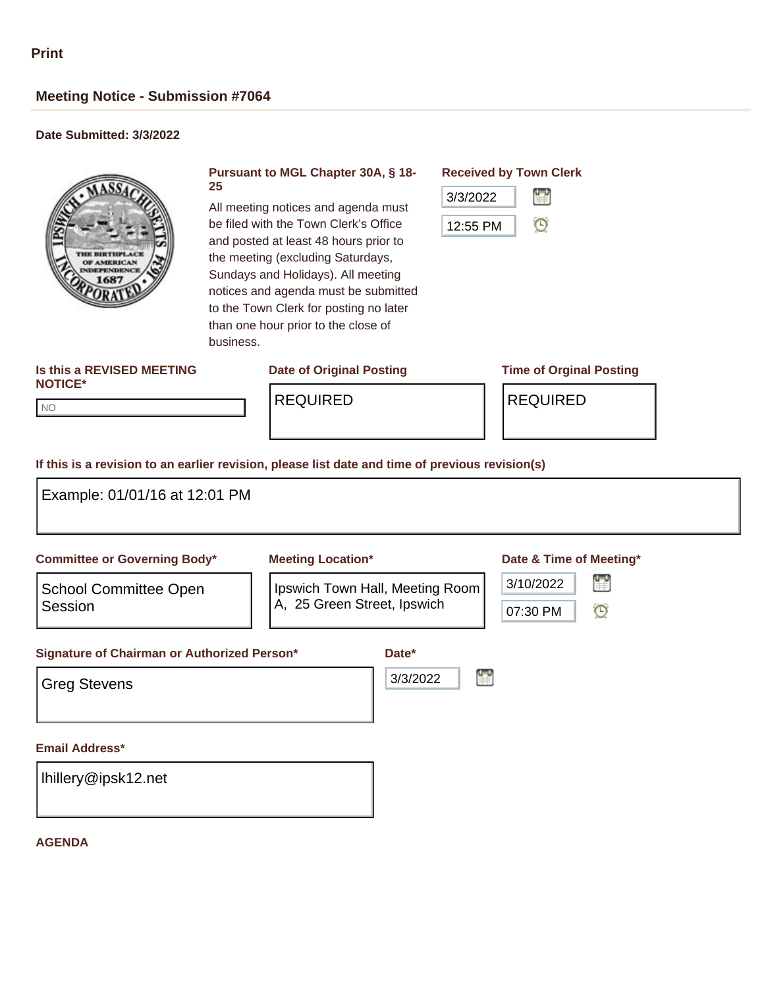NO NO

### **Meeting Notice - Submission #7064**

### **Date Submitted: 3/3/2022**



#### **Pursuant to MGL Chapter 30A, § 18- 25**

All meeting notices and agenda must be filed with the Town Clerk's Office and posted at least 48 hours prior to the meeting (excluding Saturdays, Sundays and Holidays). All meeting notices and agenda must be submitted to the Town Clerk for posting no later than one hour prior to the close of business.

# **Is this a REVISED MEETING**

#### **Date of Original Posting Time of Orginal Posting**

#### **Received by Town Clerk**



# **NOTICE\***

REQUIRED REQUIRED

#### **If this is a revision to an earlier revision, please list date and time of previous revision(s)**

| Example: 01/01/16 at 12:01 PM               |                                                                |                                                 |
|---------------------------------------------|----------------------------------------------------------------|-------------------------------------------------|
| <b>Committee or Governing Body*</b>         | <b>Meeting Location*</b>                                       | Date & Time of Meeting*                         |
| <b>School Committee Open</b><br>Session     | Ipswich Town Hall, Meeting Room<br>A, 25 Green Street, Ipswich | H<br>3/10/2022<br>$\mathbf{\Theta}$<br>07:30 PM |
| Signature of Chairman or Authorized Person* | Date*                                                          |                                                 |
| <b>Greg Stevens</b>                         | Ľ<br>3/3/2022                                                  |                                                 |
| <b>Email Address*</b>                       |                                                                |                                                 |
| Ihillery@ipsk12.net                         |                                                                |                                                 |

#### **AGENDA**